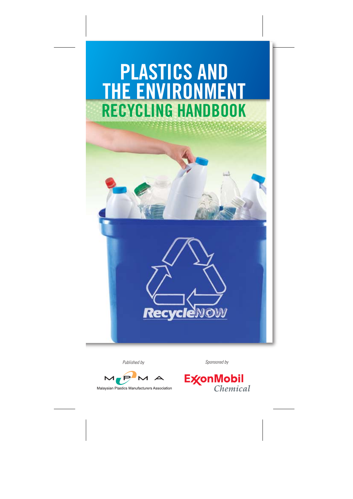# **RECYCLING HANDBOOK PLASTICS AND THE ENVIRONMENT**

*Published by Sponsored by*

**Recyc** 



Malaysian Plastics Manufacturers Association

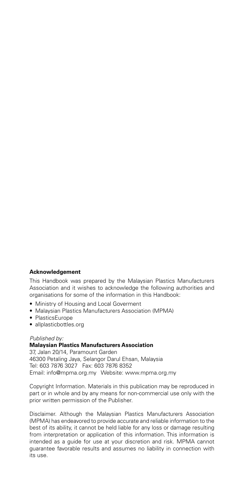#### **Acknowledgement**

This Handbook was prepared by the Malaysian Plastics Manufacturers Association and it wishes to acknowledge the following authorities and organisations for some of the information in this Handbook:

- Ministry of Housing and Local Goverment
- Malaysian Plastics Manufacturers Association (MPMA)
- PlasticsEurope
- allplasticbottles.org

#### *Published by:* **Malaysian Plastics Manufacturers Association**

37, Jalan 20/14, Paramount Garden 46300 Petaling Jaya, Selangor Darul Ehsan, Malaysia Tel: 603 7876 3027 Fax: 603 7876 8352 Email: info@mpma.org.my Website: www.mpma.org.my

Copyright Information. Materials in this publication may be reproduced in part or in whole and by any means for non-commercial use only with the prior written permission of the Publisher.

Disclaimer. Although the Malaysian Plastics Manufacturers Association (MPMA) has endeavored to provide accurate and reliable information to the best of its ability, it cannot be held liable for any loss or damage resulting from interpretation or application of this information. This information is intended as a guide for use at your discretion and risk. MPMA cannot guarantee favorable results and assumes no liability in connection with its use.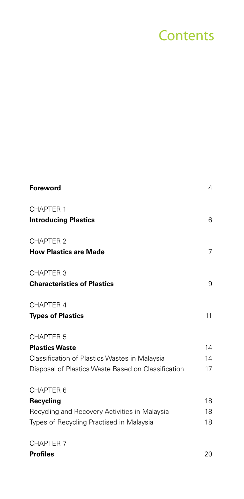## **Contents**

| <b>Foreword</b>                                    | 4  |
|----------------------------------------------------|----|
| <b>CHAPTER 1</b>                                   |    |
| <b>Introducing Plastics</b>                        | 6  |
| <b>CHAPTER 2</b>                                   |    |
| <b>How Plastics are Made</b>                       | 7  |
| <b>CHAPTER 3</b>                                   |    |
| <b>Characteristics of Plastics</b>                 | 9  |
| CHAPTER 4                                          |    |
| <b>Types of Plastics</b>                           | 11 |
| <b>CHAPTER 5</b>                                   |    |
| <b>Plastics Waste</b>                              | 14 |
| Classification of Plastics Wastes in Malaysia      | 14 |
| Disposal of Plastics Waste Based on Classification | 17 |
| CHAPTER 6                                          |    |
| Recycling                                          | 18 |
| Recycling and Recovery Activities in Malaysia      | 18 |
| Types of Recycling Practised in Malaysia           | 18 |
| <b>CHAPTER 7</b>                                   |    |

**Profiles** 20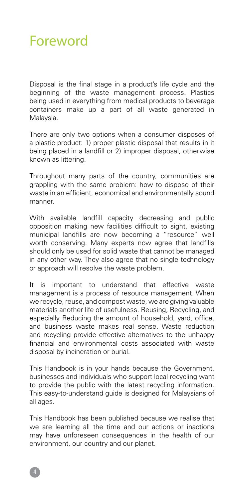### Foreword

Disposal is the final stage in a product's life cycle and the beginning of the waste management process. Plastics being used in everything from medical products to beverage containers make up a part of all waste generated in Malaysia.

There are only two options when a consumer disposes of a plastic product: 1) proper plastic disposal that results in it being placed in a landfill or 2) improper disposal, otherwise known as littering.

Throughout many parts of the country, communities are grappling with the same problem: how to dispose of their waste in an efficient, economical and environmentally sound manner.

With available landfill capacity decreasing and public opposition making new facilities difficult to sight, existing municipal landfills are now becoming a "resource" well worth conserving. Many experts now agree that landfills should only be used for solid waste that cannot be managed in any other way. They also agree that no single technology or approach will resolve the waste problem.

It is important to understand that effective waste management is a process of resource management. When we recycle, reuse, and compost waste, we are giving valuable materials another life of usefulness. Reusing, Recycling, and especially Reducing the amount of household, yard, office, and business waste makes real sense. Waste reduction and recycling provide effective alternatives to the unhappy financial and environmental costs associated with waste disposal by incineration or burial.

This Handbook is in your hands because the Government, businesses and individuals who support local recycling want to provide the public with the latest recycling information. This easy-to-understand guide is designed for Malaysians of all ages.

This Handbook has been published because we realise that we are learning all the time and our actions or inactions may have unforeseen consequences in the health of our environment, our country and our planet.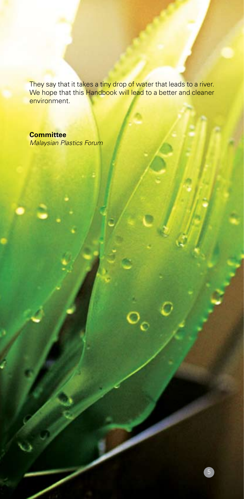They say that it takes a tiny drop of water that leads to a river. We hope that this Handbook will lead to a better and cleaner environment.

#### **Committee**

*Malaysian Plastics Forum* 

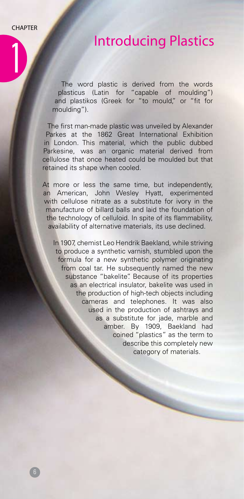1

### Introducing Plastics

The word plastic is derived from the words plasticus (Latin for "capable of moulding") and plastikos (Greek for "to mould," or "fit for moulding").

The first man-made plastic was unveiled by Alexander Parkes at the 1862 Great International Exhibition in London. This material, which the public dubbed Parkesine, was an organic material derived from cellulose that once heated could be moulded but that retained its shape when cooled.

At more or less the same time, but independently, an American, John Wesley Hyatt, experimented with cellulose nitrate as a substitute for ivory in the manufacture of billard balls and laid the foundation of the technology of celluloid. In spite of its flammability, availability of alternative materials, its use declined.

In 1907, chemist Leo Hendrik Baekland, while striving to produce a synthetic varnish, stumbled upon the formula for a new synthetic polymer originating from coal tar. He subsequently named the new substance "bakelite". Because of its properties as an electrical insulator, bakelite was used in the production of high-tech objects including cameras and telephones. It was also used in the production of ashtrays and as a substitute for jade, marble and amber. By 1909, Baekland had coined "plastics" as the term to describe this completely new category of materials.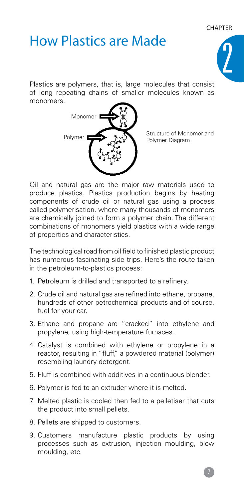# How Plastics are Made



Plastics are polymers, that is, large molecules that consist of long repeating chains of smaller molecules known as monomers.



Structure of Monomer and Polymer Diagram

Oil and natural gas are the major raw materials used to produce plastics. Plastics production begins by heating components of crude oil or natural gas using a process called polymerisation, where many thousands of monomers are chemically joined to form a polymer chain. The different combinations of monomers yield plastics with a wide range of properties and characteristics.

The technological road from oil field to finished plastic product has numerous fascinating side trips. Here's the route taken in the petroleum-to-plastics process:

- 1. Petroleum is drilled and transported to a refinery.
- 2. Crude oil and natural gas are refined into ethane, propane, hundreds of other petrochemical products and of course, fuel for your car.
- 3. Ethane and propane are "cracked" into ethylene and propylene, using high-temperature furnaces.
- 4. Catalyst is combined with ethylene or propylene in a reactor, resulting in "fluff," a powdered material (polymer) resembling laundry detergent.
- 5. Fluff is combined with additives in a continuous blender.
- 6. Polymer is fed to an extruder where it is melted.
- 7. Melted plastic is cooled then fed to a pelletiser that cuts the product into small pellets.
- 8. Pellets are shipped to customers.
- 9. Customers manufacture plastic products by using processes such as extrusion, injection moulding, blow moulding, etc.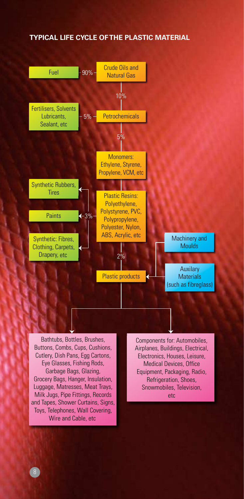#### **Typical life cycle of the plastic material**



Garbage Bags, Glazing, Grocery Bags, Hanger, Insulation, Luggage, Matresses, Meat Trays, Milk Jugs, Pipe Fittings, Records and Tapes, Shower Curtains, Signs, Toys, Telephones, Wall Covering, Wire and Cable, etc

Equipment, Packaging, Radio, Refrigeration, Shoes, Snowmobiles, Television, etc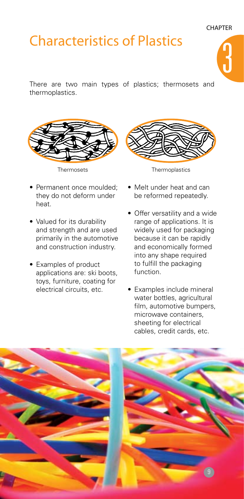# Characteristics of Plastics



There are two main types of plastics; thermosets and thermoplastics.



- Permanent once moulded: they do not deform under heat.
- Valued for its durability and strength and are used primarily in the automotive and construction industry.
- Examples of product applications are: ski boots, toys, furniture, coating for electrical circuits, etc.



- Thermosets Thermoplastics
	- Melt under heat and can be reformed repeatedly.
	- Offer versatility and a wide range of applications. It is widely used for packaging because it can be rapidly and economically formed into any shape required to fulfill the packaging function.
	- Examples include mineral water bottles, agricultural film, automotive bumpers, microwave containers, sheeting for electrical cables, credit cards, etc.

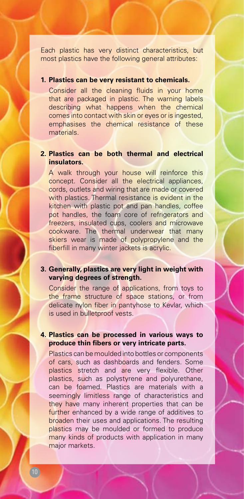Each plastic has very distinct characteristics, but most plastics have the following general attributes:

#### **1. Plastics can be very resistant to chemicals.**

Consider all the cleaning fluids in your home that are packaged in plastic. The warning labels describing what happens when the chemical comes into contact with skin or eyes or is ingested, emphasises the chemical resistance of these materials.

#### **2. Plastics can be both thermal and electrical insulators.**

A walk through your house will reinforce this concept. Consider all the electrical appliances, cords, outlets and wiring that are made or covered with plastics. Thermal resistance is evident in the kitchen with plastic pot and pan handles, coffee pot handles, the foam core of refrigerators and freezers, insulated cups, coolers and microwave cookware. The thermal underwear that many skiers wear is made of polypropylene and the fiberfill in many winter jackets is acrylic.

#### **3. Generally, plastics are very light in weight with varying degrees of strength.**

Consider the range of applications, from toys to the frame structure of space stations, or from delicate nylon fiber in pantyhose to Kevlar, which is used in bulletproof vests.

#### **4. Plastics can be processed in various ways to produce thin fibers or very intricate parts.**

Plastics can be moulded into bottles or components of cars, such as dashboards and fenders. Some plastics stretch and are very flexible. Other plastics, such as polystyrene and polyurethane, can be foamed. Plastics are materials with a seemingly limitless range of characteristics and they have many inherent properties that can be further enhanced by a wide range of additives to broaden their uses and applications. The resulting plastics may be moulded or formed to produce many kinds of products with application in many major markets.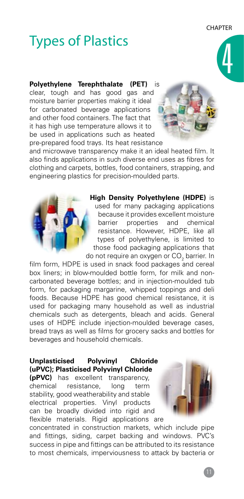# **Types of Plastics**

#### **Polyethylene Terephthalate (PET)** is clear, tough and has good gas and moisture barrier properties making it ideal for carbonated beverage applications and other food containers. The fact that it has high use temperature allows it to be used in applications such as heated pre-prepared food trays. Its heat resistance



and microwave transparency make it an ideal heated film. It also finds applications in such diverse end uses as fibres for clothing and carpets, bottles, food containers, strapping, and engineering plastics for precision-moulded parts.

> **High Density Polyethylene (HDPE)** is used for many packaging applications because it provides excellent moisture barrier properties and chemical resistance. However, HDPE, like all types of polyethylene, is limited to those food packaging applications that do not require an oxygen or  $\mathsf{CO}_2$  barrier. In

film form, HDPE is used in snack food packages and cereal box liners; in blow-moulded bottle form, for milk and noncarbonated beverage bottles; and in injection-moulded tub form, for packaging margarine, whipped toppings and deli foods. Because HDPE has good chemical resistance, it is used for packaging many household as well as industrial chemicals such as detergents, bleach and acids. General uses of HDPE include injection-moulded beverage cases, bread trays as well as films for grocery sacks and bottles for beverages and household chemicals.

#### **Unplasticised Polyvinyl Chloride (uPVC); Plasticised Polyvinyl Chloride**

**(pPVC)** has excellent transparency, chemical resistance, long term stability, good weatherability and stable electrical properties. Vinyl products can be broadly divided into rigid and flexible materials. Rigid applications are



concentrated in construction markets, which include pipe and fittings, siding, carpet backing and windows. PVC's success in pipe and fittings can be attributed to its resistance to most chemicals, imperviousness to attack by bacteria or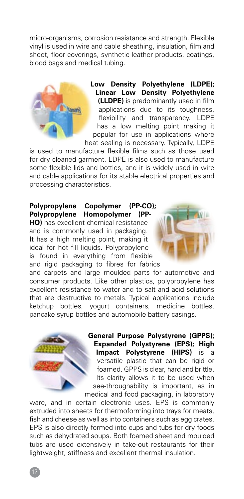micro-organisms, corrosion resistance and strength. Flexible vinyl is used in wire and cable sheathing, insulation, film and sheet, floor coverings, synthetic leather products, coatings, blood bags and medical tubing.



**Low Density Polyethylene (LDPE); Linear Low Density Polyethylene (LLDPE)** is predominantly used in film applications due to its toughness, flexibility and transparency. LDPE has a low melting point making it popular for use in applications where heat sealing is necessary. Typically, LDPE

is used to manufacture flexible films such as those used for dry cleaned garment. LDPE is also used to manufacture some flexible lids and bottles, and it is widely used in wire and cable applications for its stable electrical properties and processing characteristics.

#### **Polypropylene Copolymer (PP-CO); Polypropylene Homopolymer (PP-**

**HO)** has excellent chemical resistance and is commonly used in packaging. It has a high melting point, making it ideal for hot fill liquids. Polypropylene is found in everything from flexible and rigid packaging to fibres for fabrics

and carpets and large moulded parts for automotive and consumer products. Like other plastics, polypropylene has excellent resistance to water and to salt and acid solutions that are destructive to metals. Typical applications include ketchup bottles, yogurt containers, medicine bottles, pancake syrup bottles and automobile battery casings.



**General Purpose Polystyrene (GPPS); Expanded Polystyrene (EPS); High Impact Polystyrene (HIPS)** is versatile plastic that can be rigid or foamed. GPPS is clear, hard and brittle. Its clarity allows it to be used when see-throughability is important, as in medical and food packaging, in laboratory

ware, and in certain electronic uses. EPS is commonly extruded into sheets for thermoforming into trays for meats, fish and cheese as well as into containers such as egg crates. EPS is also directly formed into cups and tubs for dry foods such as dehydrated soups. Both foamed sheet and moulded tubs are used extensively in take-out restaurants for their lightweight, stiffness and excellent thermal insulation.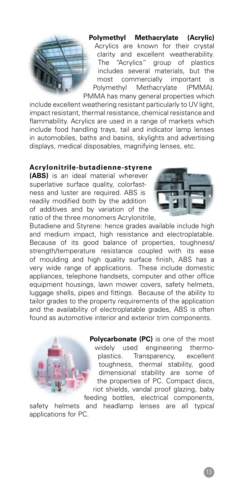

**Polymethyl Methacrylate (Acrylic)**  Acrylics are known for their crystal clarity and excellent weatherability. The "Acrylics" group of plastics includes several materials, but the most commercially important is Polymethyl Methacrylate (PMMA). PMMA has many general properties which

include excellent weathering resistant particularly to UV light, impact resistant, thermal resistance, chemical resistance and flammability. Acrylics are used in a range of markets which include food handling trays, tail and indicator lamp lenses in automobiles, baths and basins, skylights and advertising displays, medical disposables, magnifying lenses, etc.

#### **Acrylonitrile-butadienne-styrene**

**(ABS)** is an ideal material wherever superlative surface quality, colorfastness and luster are required. ABS is readily modified both by the addition of additives and by variation of the ratio of the three monomers Acrylonitrile,



Butadiene and Styrene: hence grades available include high and medium impact, high resistance and electroplatable. Because of its good balance of properties, toughness/ strength/temperature resistance coupled with its ease of moulding and high quality surface finish, ABS has a very wide range of applications. These include domestic appliances, telephone handsets, computer and other office equipment housings, lawn mower covers, safety helmets, luggage shells, pipes and fittings. Because of the ability to tailor grades to the property requirements of the application and the availability of electroplatable grades, ABS is often found as automotive interior and exterior trim components.



**Polycarbonate (PC)** is one of the most widely used engineering thermoplastics. Transparency, excellent toughness, thermal stability, good dimensional stability are some of the properties of PC. Compact discs, riot shields, vandal proof glazing, baby

feeding bottles, electrical components, safety helmets and headlamp lenses are all typical applications for PC.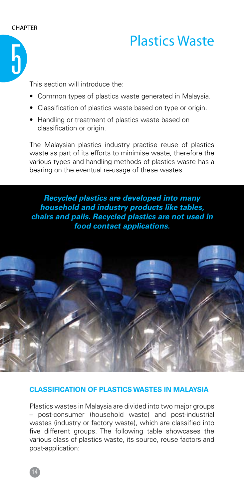

### Plastics Waste

This section will introduce the:

- Common types of plastics waste generated in Malaysia.
- Classification of plastics waste based on type or origin.
- Handling or treatment of plastics waste based on classification or origin.

The Malaysian plastics industry practise reuse of plastics waste as part of its efforts to minimise waste, therefore the various types and handling methods of plastics waste has a bearing on the eventual re-usage of these wastes.

*Recycled plastics are developed into many household and industry products like tables, chairs and pails. Recycled plastics are not used in food contact applications.*



#### **Classification of Plastics Wastes in Malaysia**

Plastics wastes in Malaysia are divided into two major groups – post-consumer (household waste) and post-industrial wastes (industry or factory waste), which are classified into five different groups. The following table showcases the various class of plastics waste, its source, reuse factors and post-application: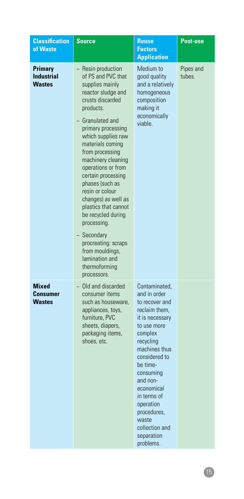| <b>Classification</b><br>of Waste             | <b>Source</b>                                                                                                                                                                                                                                                                                                                                                                                                                                                                                                                    | <b>Reuse</b><br><b>Factors</b><br><b>Application</b>                                                                                                                                                                                                                                                             | <b>Post-use</b>     |
|-----------------------------------------------|----------------------------------------------------------------------------------------------------------------------------------------------------------------------------------------------------------------------------------------------------------------------------------------------------------------------------------------------------------------------------------------------------------------------------------------------------------------------------------------------------------------------------------|------------------------------------------------------------------------------------------------------------------------------------------------------------------------------------------------------------------------------------------------------------------------------------------------------------------|---------------------|
| Primary<br><b>Industrial</b><br><b>Wastes</b> | - Resin production<br>of PS and PVC that<br>supplies mainly<br>reactor sludge and<br>crusts discarded<br>products.<br>- Granulated and<br>primary processing<br>which supplies raw<br>materials coming<br>from processing<br>machinery cleaning<br>operations or from<br>certain processing<br>phases (such as<br>resin or colour<br>changes) as well as<br>plastics that cannot<br>be recycled during<br>processing.<br>- Secondary<br>procreating: scraps<br>from mouldings,<br>lamination and<br>thermoforming<br>processors. | Medium to<br>good quality<br>and a relatively<br>homogeneous<br>composition<br>making it<br>economically<br>viable.                                                                                                                                                                                              | Pipes and<br>tubes. |
| <b>Mixed</b><br>Consumer<br><b>Wastes</b>     | - Old and discarded<br>consumer items<br>such as houseware,<br>appliances, toys,<br>furniture, PVC<br>sheets, diapers,<br>packaging items,<br>shoes, etc.                                                                                                                                                                                                                                                                                                                                                                        | Contaminated.<br>and in order<br>to recover and<br>reclaim them,<br>it is necessary<br>to use more<br>complex<br>recycling<br>machines thus<br>considered to<br>be time-<br>consuming<br>and non-<br>economical<br>in terms of<br>operation<br>procedures,<br>waste<br>collection and<br>separation<br>problems. |                     |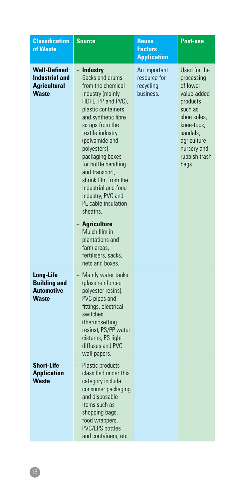| <b>Classification</b><br>of Waste                                                   | <b>Source</b>                                                                                                                                                                                                                                                                                                                                                                                                                                                                                           | <b>Reuse</b><br><b>Factors</b><br><b>Application</b>   | <b>Post-use</b>                                                                                                                                                               |
|-------------------------------------------------------------------------------------|---------------------------------------------------------------------------------------------------------------------------------------------------------------------------------------------------------------------------------------------------------------------------------------------------------------------------------------------------------------------------------------------------------------------------------------------------------------------------------------------------------|--------------------------------------------------------|-------------------------------------------------------------------------------------------------------------------------------------------------------------------------------|
| <b>Well-Defined</b><br><b>Industrial and</b><br><b>Agricultural</b><br><b>Waste</b> | <b>Industry</b><br>Sacks and drums<br>from the chemical<br>industry (mainly<br>HDPE, PP and PVC),<br>plastic containers<br>and synthetic fibre<br>scraps from the<br>textile industry<br>(polyamide and<br>polyesters)<br>packaging boxes<br>for bottle handling<br>and transport,<br>shrink film from the<br>industrial and food<br>industry, PVC and<br>PE cable insulation<br>sheaths.<br>– Agriculture<br>Mulch film in<br>plantations and<br>farm areas,<br>fertilisers, sacks,<br>nets and boxes. | An important<br>resource for<br>recycling<br>business. | Used for the<br>processing<br>of lower<br>value-added<br>products<br>such as<br>shoe soles.<br>knee-tops,<br>sandals,<br>agriculture<br>nursery and<br>rubbish trash<br>bags. |
| Long-Life<br><b>Building and</b><br>Automotive<br><b>Waste</b>                      | - Mainly water tanks<br>(glass reinforced<br>polyester resins),<br>PVC pipes and<br>fittings, electrical<br>switches<br>(thermosetting<br>resins), PS/PP water<br>cisterns, PS light<br>diffuses and PVC<br>wall papers.                                                                                                                                                                                                                                                                                |                                                        |                                                                                                                                                                               |
| <b>Short-Life</b><br><b>Application</b><br><b>Waste</b>                             | - Plastic products<br>classified under this<br>category include<br>consumer packaging<br>and disposable<br>items such as<br>shopping bags,<br>food wrappers,<br><b>PVC/EPS bottles</b><br>and containers, etc.                                                                                                                                                                                                                                                                                          |                                                        |                                                                                                                                                                               |

16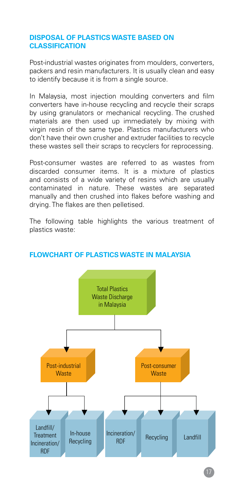#### **Disposal of Plastics Waste Based on Classification**

Post-industrial wastes originates from moulders, converters, packers and resin manufacturers. It is usually clean and easy to identify because it is from a single source.

In Malaysia, most injection moulding converters and film converters have in-house recycling and recycle their scraps by using granulators or mechanical recycling. The crushed materials are then used up immediately by mixing with virgin resin of the same type. Plastics manufacturers who don't have their own crusher and extruder facilities to recycle these wastes sell their scraps to recyclers for reprocessing.

Post-consumer wastes are referred to as wastes from discarded consumer items. It is a mixture of plastics and consists of a wide variety of resins which are usually contaminated in nature. These wastes are separated manually and then crushed into flakes before washing and drying. The flakes are then pelletised.

The following table highlights the various treatment of plastics waste:



#### **Flowchart of plastics waste in Malaysia**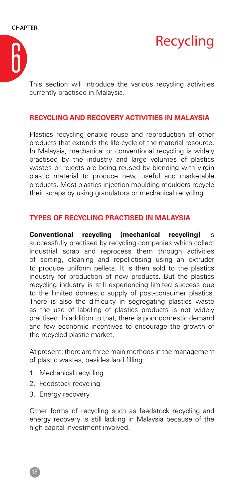



This section will introduce the various recycling activities currently practised in Malaysia.

#### **Recycling and Recovery Activities in Malaysia**

Plastics recycling enable reuse and reproduction of other products that extends the life-cycle of the material resource. In Malaysia, mechanical or conventional recycling is widely practised by the industry and large volumes of plastics wastes or rejects are being reused by blending with virgin plastic material to produce new, useful and marketable products. Most plastics injection moulding moulders recycle their scraps by using granulators or mechanical recycling.

#### **Types of Recycling Practised in Malaysia**

**Conventional recycling (mechanical recycling)** is successfully practised by recycling companies which collect industrial scrap and reprocess them through activities of sorting, cleaning and repelletising using an extruder to produce uniform pellets. It is then sold to the plastics industry for production of new products. But the plastics recycling industry is still experiencing limited success due to the limited domestic supply of post-consumer plastics. There is also the difficulty in segregating plastics waste as the use of labeling of plastics products is not widely practised. In addition to that, there is poor domestic demand and few economic incentives to encourage the growth of the recycled plastic market.

At present, there are three main methods in the management of plastic wastes, besides land filling:

- 1. Mechanical recycling
- 2. Feedstock recycling
- 3. Energy recovery

Other forms of recycling such as feedstock recycling and energy recovery is still lacking in Malaysia because of the high capital investment involved.

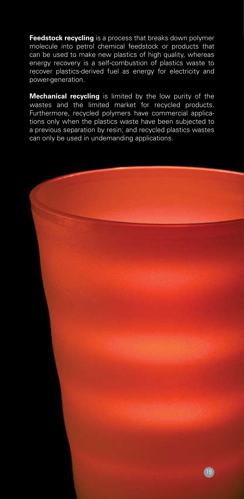**Feedstock recycling** is a process that breaks down polymer molecule into petrol chemical feedstock or products that can be used to make new plastics of high quality, whereas energy recovery is a self-combustion of plastics waste to recover plastics-derived fuel as energy for electricity and power-generation.

**Mechanical recycling** is limited by the low purity of the wastes and the limited market for recycled products. Furthermore, recycled polymers have commercial applications only when the plastics waste have been subjected to a previous separation by resin; and recycled plastics wastes can only be used in undemanding applications.